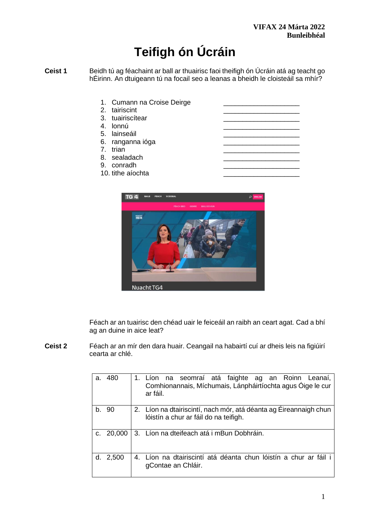# **Teifigh ón Úcráin**

- **Ceist 1** Beidh tú ag féachaint ar ball ar thuairisc faoi theifigh ón Úcráin atá ag teacht go hÉirinn. An dtuigeann tú na focail seo a leanas a bheidh le cloisteáil sa mhír?
	- 1. Cumann na Croise Deirge 2. tairiscint 3. tuairiscítear 4. lonnú 5. lainseáil 6. ranganna ióga 7. trian 8. sealadach 9. conradh 10. tithe aíochta
	-



Féach ar an tuairisc den chéad uair le feiceáil an raibh an ceart agat. Cad a bhí ag an duine in aice leat?

**Ceist 2** Féach ar an mír den dara huair. Ceangail na habairtí cuí ar dheis leis na figiúirí cearta ar chlé.

| a.      | 480    | 1. Líon na seomraí atá faighte ag an Roinn Leanaí,<br>Comhionannais, Míchumais, Lánpháirtíochta agus Óige le cur<br>ar fáil. |
|---------|--------|------------------------------------------------------------------------------------------------------------------------------|
| $b_{-}$ | 90     | 2. Líon na dtairiscintí, nach mór, atá déanta ag Éireannaigh chun<br>lóistín a chur ar fáil do na teifigh.                   |
| C.      | 20,000 | 3. Líon na dteifeach atá i mBun Dobhráin.                                                                                    |
| d.      | 2,500  | 4. Líon na dtairiscintí atá déanta chun lóistín a chur ar fáil i<br>gContae an Chláir.                                       |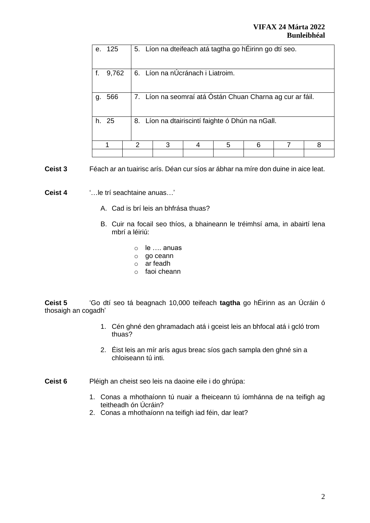| е.                                                           | 125   |   | 5. Líon na dteifeach atá tagtha go hÉirinn go dtí seo.    |  |   |  |  |   |  |  |
|--------------------------------------------------------------|-------|---|-----------------------------------------------------------|--|---|--|--|---|--|--|
|                                                              | 9,762 |   | 6. Líon na nÚcránach i Liatroim.                          |  |   |  |  |   |  |  |
| g.                                                           | 566   |   | 7. Líon na seomraí atá Óstán Chuan Charna ag cur ar fáil. |  |   |  |  |   |  |  |
| 25<br>8. Líon na dtairiscintí faighte ó Dhún na nGall.<br>h. |       |   |                                                           |  |   |  |  |   |  |  |
|                                                              |       | 2 |                                                           |  | 5 |  |  | 8 |  |  |
|                                                              |       |   |                                                           |  |   |  |  |   |  |  |

**Ceist 3** Féach ar an tuairisc arís. Déan cur síos ar ábhar na míre don duine in aice leat.

**Ceist 4** '…le trí seachtaine anuas…'

- A. Cad is brí leis an bhfrása thuas?
- B. Cuir na focail seo thíos, a bhaineann le tréimhsí ama, in abairtí lena mbrí a léiriú:
	- o le …. anuas
	- o go ceann
	- o ar feadh
	- o faoi cheann

**Ceist 5** 'Go dtí seo tá beagnach 10,000 teifeach **tagtha** go hÉirinn as an Úcráin ó thosaigh an cogadh'

- 1. Cén ghné den ghramadach atá i gceist leis an bhfocal atá i gcló trom thuas?
- 2. Éist leis an mír arís agus breac síos gach sampla den ghné sin a chloiseann tú inti.

**Ceist 6** Pléigh an cheist seo leis na daoine eile i do ghrúpa:

- 1. Conas a mhothaíonn tú nuair a fheiceann tú íomhánna de na teifigh ag teitheadh ón Úcráin?
- 2. Conas a mhothaíonn na teifigh iad féin, dar leat?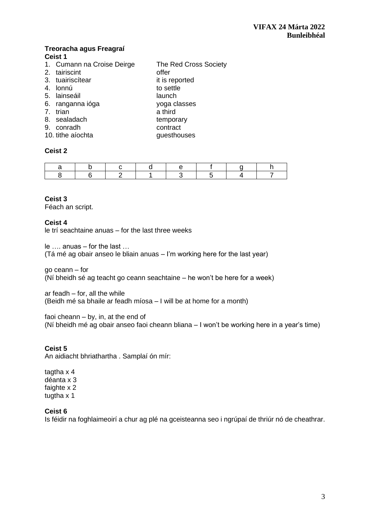#### **Treoracha agus Freagraí Ceist 1**

- 1. Cumann na Croise Deirge The Red Cross Society
- 2. tairiscint **offer**
- 3. tuairiscítear it is reported<br>4. lonnú
- 4. lonnú
- 5. lainseáil is comhann an t-aonadh is launch
- 6. ranganna ióga yoga classes
- 7. trian a third
- 8. sealadach temporary
- 9. conradh contract
- 10. tithe aíochta **guestions** questhouses

## **Ceist 2**

## **Ceist 3**

Féach an script.

## **Ceist 4**

le trí seachtaine anuas – for the last three weeks

le …. anuas – for the last …

(Tá mé ag obair anseo le bliain anuas – I'm working here for the last year)

go ceann – for (Ní bheidh sé ag teacht go ceann seachtaine – he won't be here for a week)

ar feadh – for, all the while (Beidh mé sa bhaile ar feadh míosa – I will be at home for a month)

faoi cheann – by, in, at the end of (Ní bheidh mé ag obair anseo faoi cheann bliana – I won't be working here in a year's time)

# **Ceist 5**

An aidiacht bhriathartha . Samplaí ón mír:

tagtha x 4 déanta x 3 faighte x 2 tugtha x 1

## **Ceist 6**

Is féidir na foghlaimeoirí a chur ag plé na gceisteanna seo i ngrúpaí de thriúr nó de cheathrar.